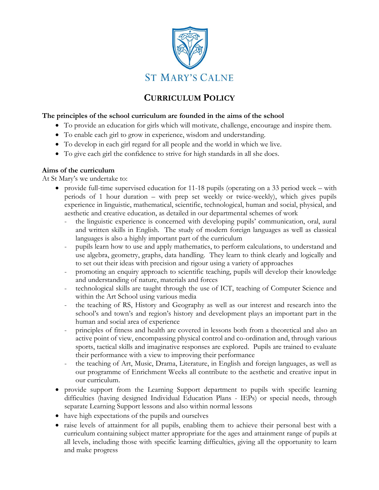

## **CURRICULUM POLICY**

## **The principles of the school curriculum are founded in the aims of the school**

- To provide an education for girls which will motivate, challenge, encourage and inspire them.
- To enable each girl to grow in experience, wisdom and understanding.
- To develop in each girl regard for all people and the world in which we live.
- To give each girl the confidence to strive for high standards in all she does.

## **Aims of the curriculum**

At St Mary's we undertake to:

- provide full-time supervised education for 11-18 pupils (operating on a 33 period week with periods of 1 hour duration – with prep set weekly or twice-weekly), which gives pupils experience in linguistic, mathematical, scientific, technological, human and social, physical, and aesthetic and creative education, as detailed in our departmental schemes of work
	- the linguistic experience is concerned with developing pupils' communication, oral, aural and written skills in English. The study of modern foreign languages as well as classical languages is also a highly important part of the curriculum
	- pupils learn how to use and apply mathematics, to perform calculations, to understand and use algebra, geometry, graphs, data handling. They learn to think clearly and logically and to set out their ideas with precision and rigour using a variety of approaches
	- promoting an enquiry approach to scientific teaching, pupils will develop their knowledge and understanding of nature, materials and forces
	- technological skills are taught through the use of ICT, teaching of Computer Science and within the Art School using various media
	- the teaching of RS, History and Geography as well as our interest and research into the school's and town's and region's history and development plays an important part in the human and social area of experience
	- principles of fitness and health are covered in lessons both from a theoretical and also an active point of view, encompassing physical control and co-ordination and, through various sports, tactical skills and imaginative responses are explored. Pupils are trained to evaluate their performance with a view to improving their performance
	- the teaching of Art, Music, Drama, Literature, in English and foreign languages, as well as our programme of Enrichment Weeks all contribute to the aesthetic and creative input in our curriculum.
- provide support from the Learning Support department to pupils with specific learning difficulties (having designed Individual Education Plans - IEPs) or special needs, through separate Learning Support lessons and also within normal lessons
- have high expectations of the pupils and ourselves
- raise levels of attainment for all pupils, enabling them to achieve their personal best with a curriculum containing subject matter appropriate for the ages and attainment range of pupils at all levels, including those with specific learning difficulties, giving all the opportunity to learn and make progress